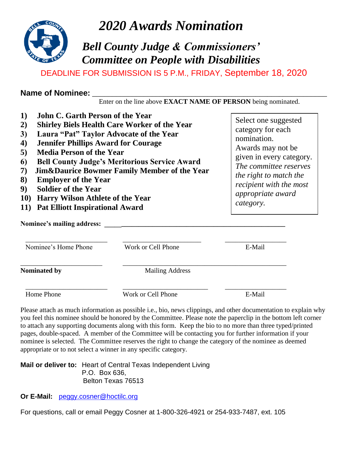

*2020 Awards Nomination*

## *Bell County Judge & Commissioners' Committee on People with Disabilities*

DEADLINE FOR SUBMISSION IS 5 P.M., FRIDAY, September 18, 2020

| <b>Name of Nominee:</b> |  |
|-------------------------|--|
|                         |  |

| Enter on the line above <b>EXACT NAME OF PERSON</b> being nominated. |  |
|----------------------------------------------------------------------|--|
|----------------------------------------------------------------------|--|

| <b>John C. Garth Person of the Year</b><br>1)<br><b>Shirley Biels Health Care Worker of the Year</b><br>2)<br>Laura "Pat" Taylor Advocate of the Year<br>3)<br><b>Jennifer Phillips Award for Courage</b><br>$\boldsymbol{4}$<br><b>Media Person of the Year</b><br>5)<br><b>Bell County Judge's Meritorious Service Award</b><br>6<br><b>Jim&amp;Daurice Bowmer Family Member of the Year</b><br>7)<br>8)<br><b>Employer of the Year</b><br><b>Soldier of the Year</b><br>9)<br><b>10</b> )<br><b>Harry Wilson Athlete of the Year</b><br><b>Pat Elliott Inspirational Award</b><br><b>11</b> )<br>Nominee's mailing address: |                        | Select one suggested<br>category for each<br>nomination.<br>Awards may not be<br>given in every category.<br>The committee reserves<br>the right to match the<br>recipient with the most<br><i>appropriate award</i><br>category. |
|--------------------------------------------------------------------------------------------------------------------------------------------------------------------------------------------------------------------------------------------------------------------------------------------------------------------------------------------------------------------------------------------------------------------------------------------------------------------------------------------------------------------------------------------------------------------------------------------------------------------------------|------------------------|-----------------------------------------------------------------------------------------------------------------------------------------------------------------------------------------------------------------------------------|
| Nominee's Home Phone                                                                                                                                                                                                                                                                                                                                                                                                                                                                                                                                                                                                           | Work or Cell Phone     | E-Mail                                                                                                                                                                                                                            |
| Nominated by                                                                                                                                                                                                                                                                                                                                                                                                                                                                                                                                                                                                                   | <b>Mailing Address</b> |                                                                                                                                                                                                                                   |
| Home Phone                                                                                                                                                                                                                                                                                                                                                                                                                                                                                                                                                                                                                     | Work or Cell Phone     | E-Mail                                                                                                                                                                                                                            |

Please attach as much information as possible i.e., bio, news clippings, and other documentation to explain why you feel this nominee should be honored by the Committee. Please note the paperclip in the bottom left corner to attach any supporting documents along with this form. Keep the bio to no more than three typed/printed pages, double-spaced. A member of the Committee will be contacting you for further information if your nominee is selected. The Committee reserves the right to change the category of the nominee as deemed appropriate or to not select a winner in any specific category.

**Mail or deliver to:** Heart of Central Texas Independent Living P.O. Box 636, Belton Texas 76513

**Or E-Mail:** [peggy.cosner@hoctilc.org](mailto:peggy.cosner@hoctilc.org)

For questions, call or email Peggy Cosner at 1-800-326-4921 or 254-933-7487, ext. 105